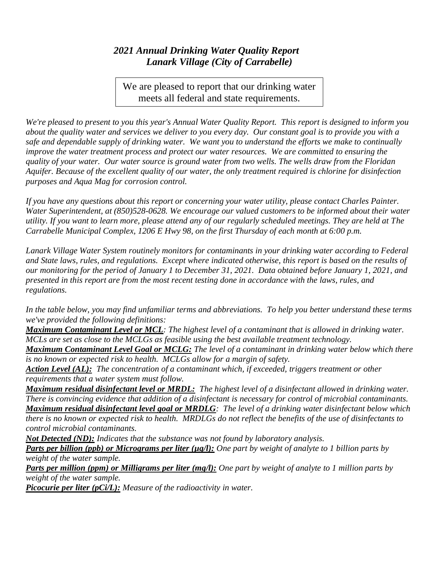## *2021 Annual Drinking Water Quality Report Lanark Village (City of Carrabelle)*

We are pleased to report that our drinking water meets all federal and state requirements.

*We're pleased to present to you this year's Annual Water Quality Report. This report is designed to inform you about the quality water and services we deliver to you every day. Our constant goal is to provide you with a safe and dependable supply of drinking water. We want you to understand the efforts we make to continually improve the water treatment process and protect our water resources. We are committed to ensuring the quality of your water. Our water source is ground water from two wells. The wells draw from the Floridan Aquifer. Because of the excellent quality of our water, the only treatment required is chlorine for disinfection purposes and Aqua Mag for corrosion control.*

*If you have any questions about this report or concerning your water utility, please contact Charles Painter. Water Superintendent, at (850)528-0628. We encourage our valued customers to be informed about their water utility. If you want to learn more, please attend any of our regularly scheduled meetings. They are held at The Carrabelle Municipal Complex, 1206 E Hwy 98, on the first Thursday of each month at 6:00 p.m.*

*Lanark Village Water System routinely monitors for contaminants in your drinking water according to Federal and State laws, rules, and regulations. Except where indicated otherwise, this report is based on the results of our monitoring for the period of January 1 to December 31, 2021. Data obtained before January 1, 2021, and presented in this report are from the most recent testing done in accordance with the laws, rules, and regulations.* 

*In the table below, you may find unfamiliar terms and abbreviations. To help you better understand these terms we've provided the following definitions:*

*Maximum Contaminant Level or MCL: The highest level of a contaminant that is allowed in drinking water. MCLs are set as close to the MCLGs as feasible using the best available treatment technology.*

*Maximum Contaminant Level Goal or MCLG: The level of a contaminant in drinking water below which there is no known or expected risk to health. MCLGs allow for a margin of safety.*

*Action Level (AL): The concentration of a contaminant which, if exceeded, triggers treatment or other requirements that a water system must follow.*

*Maximum residual disinfectant level or MRDL: The highest level of a disinfectant allowed in drinking water. There is convincing evidence that addition of a disinfectant is necessary for control of microbial contaminants. Maximum residual disinfectant level goal or MRDLG: The level of a drinking water disinfectant below which there is no known or expected risk to health. MRDLGs do not reflect the benefits of the use of disinfectants to control microbial contaminants.*

*Not Detected (ND): Indicates that the substance was not found by laboratory analysis.*

*Parts per billion (ppb) or Micrograms per liter (µg/l): One part by weight of analyte to 1 billion parts by weight of the water sample.*

*Parts per million (ppm) or Milligrams per liter (mg/l): One part by weight of analyte to 1 million parts by weight of the water sample.*

*Picocurie per liter (pCi/L): Measure of the radioactivity in water.*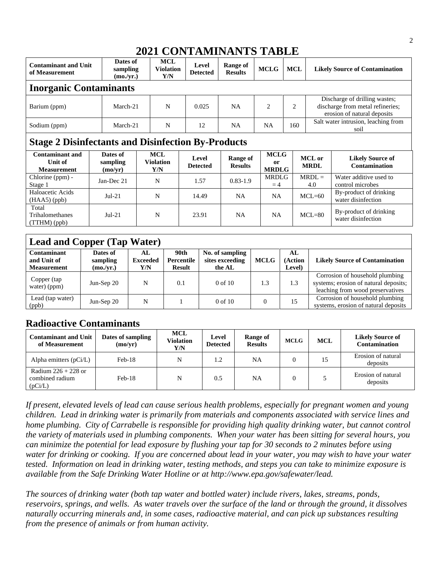## **2021 CONTAMINANTS TABLE**

| Dates of<br><b>Contaminant and Unit</b><br>sampling<br>of Measurement<br>(mo./yr.) |                                 | <b>MCL</b><br><b>Violation</b><br>Y/N | Level<br><b>Detected</b>              | Range of<br><b>Results</b> | <b>MCLG</b>                | <b>MCL</b>           |                                                      | <b>Likely Source of Contamination</b> |                                                                                                  |  |
|------------------------------------------------------------------------------------|---------------------------------|---------------------------------------|---------------------------------------|----------------------------|----------------------------|----------------------|------------------------------------------------------|---------------------------------------|--------------------------------------------------------------------------------------------------|--|
| <b>Inorganic Contaminants</b>                                                      |                                 |                                       |                                       |                            |                            |                      |                                                      |                                       |                                                                                                  |  |
| March-21<br>Barium (ppm)                                                           |                                 |                                       | N                                     | 0.025                      | <b>NA</b>                  | $\overline{c}$       | $\overline{2}$                                       |                                       | Discharge of drilling wastes;<br>discharge from metal refineries;<br>erosion of natural deposits |  |
| Sodium (ppm)                                                                       | March-21                        |                                       | N                                     | 12                         | <b>NA</b>                  | <b>NA</b>            | 160                                                  |                                       | Salt water intrusion, leaching from<br>soil                                                      |  |
| <b>Stage 2 Disinfectants and Disinfection By-Products</b>                          |                                 |                                       |                                       |                            |                            |                      |                                                      |                                       |                                                                                                  |  |
| <b>Contaminant and</b><br>Unit of<br><b>Measurement</b>                            | Dates of<br>sampling<br>(mo/yr) |                                       | <b>MCL</b><br><b>Violation</b><br>Y/N | Level<br><b>Detected</b>   | Range of<br><b>Results</b> | <sub>0</sub> r       | <b>MCLG</b><br>MCL or<br><b>MRDL</b><br><b>MRDLG</b> |                                       | <b>Likely Source of</b><br><b>Contamination</b>                                                  |  |
| Chlorine (ppm) -<br>Stage 1                                                        | Jan-Dec 21                      |                                       | N                                     | 1.57                       | $0.83 - 1.9$               | <b>MRDLG</b><br>$=4$ |                                                      | $MRDL =$<br>4.0                       | Water additive used to<br>control microbes                                                       |  |
| Haloacetic Acids<br>$(HAA5)$ (ppb)                                                 | $Jul-21$                        |                                       | N                                     | 14.49                      | <b>NA</b>                  | <b>NA</b>            |                                                      | $MCL=60$                              | By-product of drinking<br>water disinfection                                                     |  |
| Total<br>Trihalomethanes<br>(TTHM)(ppb)                                            | $Jul-21$                        |                                       | N                                     | 23.91                      | <b>NA</b>                  | <b>NA</b>            |                                                      | $MCL=80$                              | By-product of drinking<br>water disinfection                                                     |  |

## **Lead and Copper (Tap Water)**

| <b>Contaminant</b>                | Dates of              | AL                     | 90th                        | No. of sampling           |             | AL                |                                                                                                              |  |
|-----------------------------------|-----------------------|------------------------|-----------------------------|---------------------------|-------------|-------------------|--------------------------------------------------------------------------------------------------------------|--|
| and Unit of<br><b>Measurement</b> | sampling<br>(mo./yr.) | <b>Exceeded</b><br>Y/N | Percentile<br><b>Result</b> | sites exceeding<br>the AL | <b>MCLG</b> | (Action<br>Level) | <b>Likely Source of Contamination</b>                                                                        |  |
| Copper (tap<br>water) (ppm)       | Jun-Sep $20$          | N                      | 0.1                         | $0$ of $10$               | 1.3         | 1.3               | Corrosion of household plumbing<br>systems; erosion of natural deposits;<br>leaching from wood preservatives |  |
| Lead (tap water)<br>(ppb)         | Jun-Sep $20$          | N                      |                             | $0$ of $10$               |             | 15                | Corrosion of household plumbing<br>systems, erosion of natural deposits                                      |  |

## **Radioactive Contaminants**

| <b>Contaminant and Unit</b><br>of Measurement       | Dates of sampling<br>(mo/vr) | <b>MCL</b><br>Violation<br>Y/N | Level<br><b>Detected</b> | Range of<br><b>Results</b> | <b>MCLG</b> | <b>MCL</b> | <b>Likely Source of</b><br><b>Contamination</b> |
|-----------------------------------------------------|------------------------------|--------------------------------|--------------------------|----------------------------|-------------|------------|-------------------------------------------------|
| Alpha emitters $(pCi/L)$                            | $Feb-18$                     | N                              | 1.2                      | NA                         |             | 15         | Erosion of natural<br>deposits                  |
| Radium $226 + 228$ or<br>combined radium<br>(pCi/L) | Feb-18                       | N                              | 0.5                      | NA                         |             |            | Erosion of natural<br>deposits                  |

*If present, elevated levels of lead can cause serious health problems, especially for pregnant women and young children. Lead in drinking water is primarily from materials and components associated with service lines and home plumbing. City of Carrabelle is responsible for providing high quality drinking water, but cannot control the variety of materials used in plumbing components. When your water has been sitting for several hours, you can minimize the potential for lead exposure by flushing your tap for 30 seconds to 2 minutes before using water for drinking or cooking. If you are concerned about lead in your water, you may wish to have your water tested. Information on lead in drinking water, testing methods, and steps you can take to minimize exposure is available from the Safe Drinking Water Hotline or at http://www.epa.gov/safewater/lead.*

*The sources of drinking water (both tap water and bottled water) include rivers, lakes, streams, ponds, reservoirs, springs, and wells. As water travels over the surface of the land or through the ground, it dissolves naturally occurring minerals and, in some cases, radioactive material, and can pick up substances resulting from the presence of animals or from human activity.*